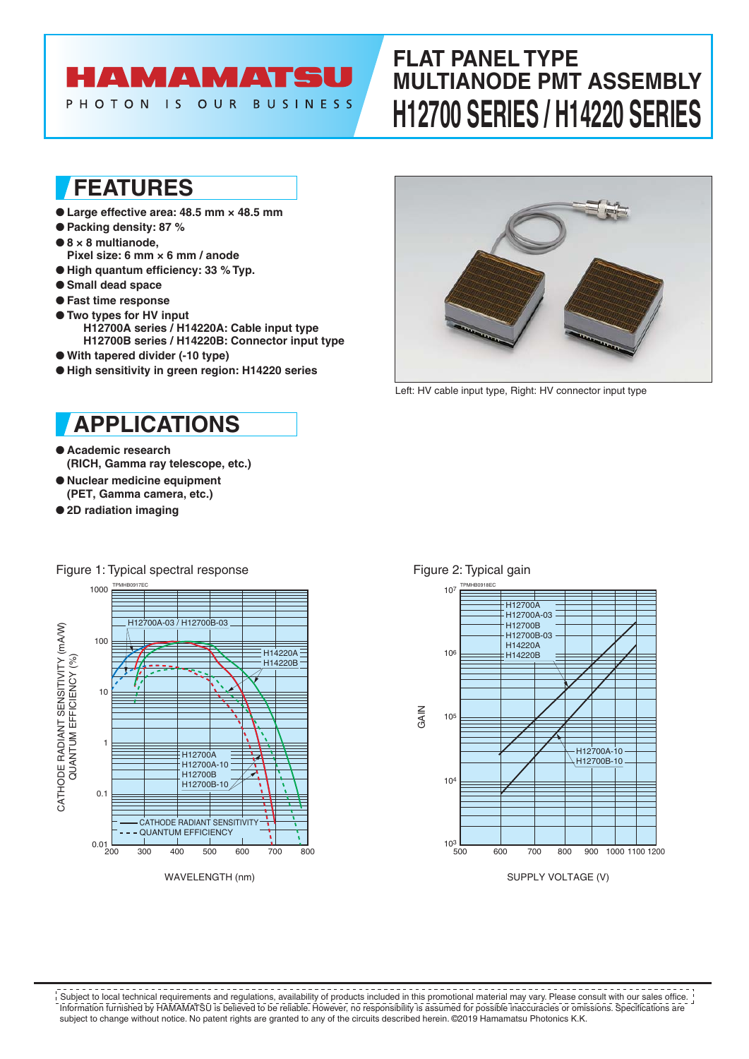# HAMAMATSU

PHOTON IS OUR **BUSINESS** 

# **FLAT PANEL TYPE MULTIANODE PMT ASSEMBLY H12700 SERIES / H14220 SERIES**

## **FEATURES**

- **Large effective area: 48.5 mm × 48.5 mm**
- **Packing density: 87 %**
- **8 × 8 multianode,**
- **Pixel size: 6 mm × 6 mm / anode**
- **High quantum efficiency: 33 % Typ.**
- **Small dead space**
- **Fast time response**
- **Two types for HV input H12700A series / H14220A: Cable input type H12700B series / H14220B: Connector input type**
- **With tapered divider (-10 type)**
- **High sensitivity in green region: H14220 series**

## **APPLICATIONS**

- **Academic research (RICH, Gamma ray telescope, etc.)**
- **Nuclear medicine equipment (PET, Gamma camera, etc.)**
- **2D radiation imaging**



WAVELENGTH (nm)



Left: HV cable input type, Right: HV connector input type



## Figure 2: Typical gain

Information furnished by HAMAMATSU is believed to be reliable. However, no responsibility is assumed for possible inaccuracies or omissions. Specifications are subject to change without notice. No patent rights are granted to any of the circuits described herein. ©2019 Hamamatsu Photonics K.K. Subject to local technical requirements and regulations, availability of products included in this promotional material may vary. Please consult with our sales office.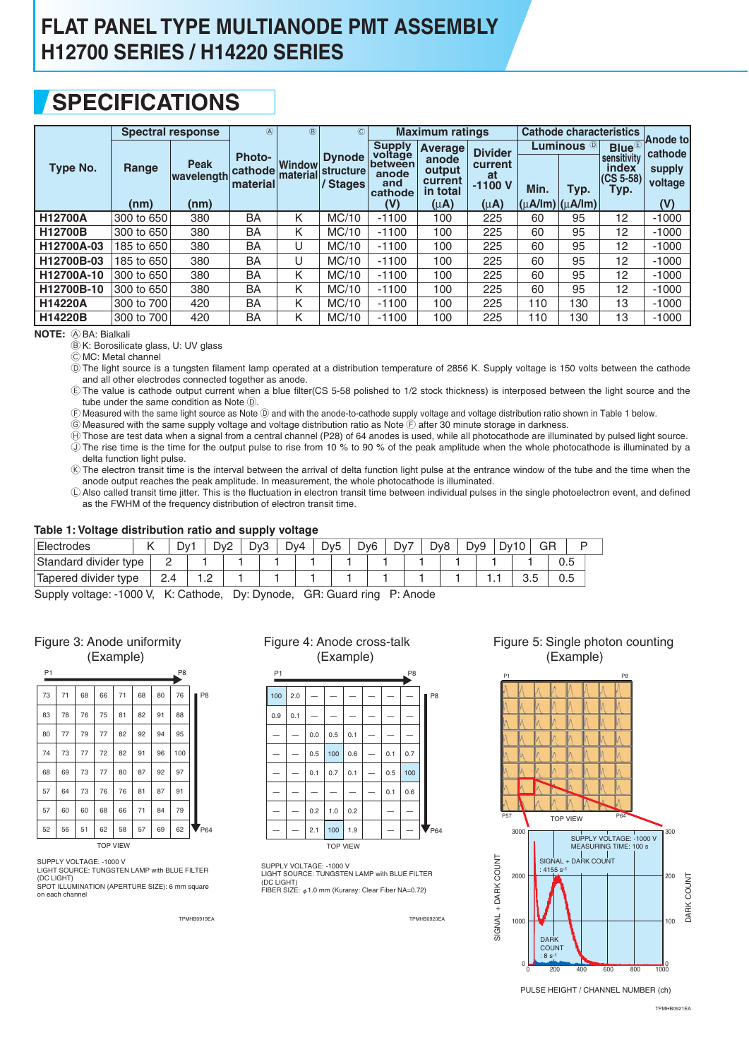## **SPECIFICATIONS**

|                |               | <b>Spectral response</b>          | $\circledA$                                 | $\circledR$               | $\circled{c}$                                 |                                                                       | <b>Maximum ratings</b>                                                |                                                          |      | <b>Cathode characteristics</b>                             |                                                                   |                                                         |
|----------------|---------------|-----------------------------------|---------------------------------------------|---------------------------|-----------------------------------------------|-----------------------------------------------------------------------|-----------------------------------------------------------------------|----------------------------------------------------------|------|------------------------------------------------------------|-------------------------------------------------------------------|---------------------------------------------------------|
| Type No.       | Range<br>(nm) | <b>Peak</b><br>wavelength<br>(nm) | <b>Photo-</b><br><b>cathode</b><br>material | <b>Window</b><br>material | <b>Dynode</b><br><b>structure</b><br>/ Stages | <b>Supply</b><br>voltage<br>between<br>anode<br>and<br>cathode<br>(V) | <b>Average</b><br>anode<br>output<br>current<br>in total<br>$(\mu A)$ | <b>Divider</b><br>current<br>at<br>$-1100V$<br>$(\mu A)$ | Min. | Luminous $^\circledR$<br>Typ.<br>$ (\mu A/Im) (\mu A/Im) $ | $Blue^{\circledR}$<br>sensitivity<br>index<br>$(CS 5-58)$<br>Typ. | <b>Anode tol</b><br>cathode<br>supply<br>voltage<br>(V) |
| <b>H12700A</b> | 300 to 650    | 380                               | BA                                          | κ                         | MC/10                                         | $-1100$                                                               | 100                                                                   | 225                                                      | 60   | 95                                                         | 12                                                                | $-1000$                                                 |
| H12700B        | 300 to 650    | 380                               | BA                                          | κ                         | MC/10                                         | $-1100$                                                               | 100                                                                   | 225                                                      | 60   | 95                                                         | 12                                                                | $-1000$                                                 |
| H12700A-03     | 185 to 650    | 380                               | BA                                          | U                         | MC/10                                         | $-1100$                                                               | 100                                                                   | 225                                                      | 60   | 95                                                         | 12                                                                | $-1000$                                                 |
| H12700B-03     | 185 to 650    | 380                               | BA                                          | U                         | MC/10                                         | $-1100$                                                               | 100                                                                   | 225                                                      | 60   | 95                                                         | 12                                                                | $-1000$                                                 |
| H12700A-10     | 300 to 650    | 380                               | BA                                          | Κ                         | MC/10                                         | $-1100$                                                               | 100                                                                   | 225                                                      | 60   | 95                                                         | 12                                                                | $-1000$                                                 |
| H12700B-10     | 300 to 650    | 380                               | <b>BA</b>                                   | Κ                         | MC/10                                         | $-1100$                                                               | 100                                                                   | 225                                                      | 60   | 95                                                         | $12 \overline{ }$                                                 | $-1000$                                                 |
| <b>H14220A</b> | 300 to 700    | 420                               | BA                                          | κ                         | MC/10                                         | $-1100$                                                               | 100                                                                   | 225                                                      | 110  | 130                                                        | 13                                                                | $-1000$                                                 |
| H14220B        | 300 to 700    | 420                               | BA                                          | κ                         | MC/10                                         | $-1100$                                                               | 100                                                                   | 225                                                      | 110  | 130                                                        | 13                                                                | $-1000$                                                 |

**NOTE:** A BA: Bialkali

B K: Borosilicate glass, U: UV glass

C MC: Metal channel

D The light source is a tungsten filament lamp operated at a distribution temperature of 2856 K. Supply voltage is 150 volts between the cathode and all other electrodes connected together as anode.

E The value is cathode output current when a blue filter(CS 5-58 polished to 1/2 stock thickness) is interposed between the light source and the tube under the same condition as Note D.

F Measured with the same light source as Note D and with the anode-to-cathode supply voltage and voltage distribution ratio shown in Table 1 below.

 $\widehat{\mathbb{G}}$  Measured with the same supply voltage and voltage distribution ratio as Note  $\widehat{\mathbb{F}}$  after 30 minute storage in darkness.

 $\oplus$  Those are test data when a signal from a central channel (P28) of 64 anodes is used, while all photocathode are illuminated by pulsed light source. J The rise time is the time for the output pulse to rise from 10 % to 90 % of the peak amplitude when the whole photocathode is illuminated by a delta function light pulse.

K The electron transit time is the interval between the arrival of delta function light pulse at the entrance window of the tube and the time when the anode output reaches the peak amplitude. In measurement, the whole photocathode is illuminated.

L Also called transit time jitter. This is the fluctuation in electron transit time between individual pulses in the single photoelectron event, and defined as the FWHM of the frequency distribution of electron transit time.

### **Table 1: Voltage distribution ratio and supply voltage**

| -                     |  |     |     |     |     | . | -   |                 |                 |     |     |                 |     |     |    |          |  |
|-----------------------|--|-----|-----|-----|-----|---|-----|-----------------|-----------------|-----|-----|-----------------|-----|-----|----|----------|--|
| Electrodes            |  | ⊃∨′ |     | Dv2 | Dv3 |   | Dv4 | Dv <sub>5</sub> | Dv <sub>6</sub> | Dv. | Dy8 | D <sub>v9</sub> | Dv1 | 10  | GR |          |  |
| Standard divider type |  | -   |     |     |     |   |     |                 |                 |     |     |                 |     |     |    | U.5      |  |
| Tapered divider type  |  | 2.4 | ے ، |     |     |   |     |                 |                 |     |     |                 | .   | ບ.ບ |    | ∽<br>v.J |  |

Supply voltage: -1000 V, K: Cathode, Dy: Dynode, GR: Guard ring P: Anode

| Figure 3: Anode uniformity |
|----------------------------|
| (Example)                  |

| P <sub>1</sub> |                 |    |    |    |    |    | P <sub>8</sub> |  |                |  |  |  |
|----------------|-----------------|----|----|----|----|----|----------------|--|----------------|--|--|--|
|                |                 |    |    |    |    |    |                |  |                |  |  |  |
| 73             | 71              | 68 | 66 | 71 | 68 | 80 | 76             |  | P <sub>8</sub> |  |  |  |
| 83             | 78              | 76 | 75 | 81 | 82 | 91 | 88             |  |                |  |  |  |
| 80             | 77              | 79 | 77 | 82 | 92 | 94 | 95             |  |                |  |  |  |
| 74             | 73              | 77 | 72 | 82 | 91 | 96 | 100            |  |                |  |  |  |
| 68             | 69              | 73 | 77 | 80 | 87 | 92 | 97             |  |                |  |  |  |
| 57             | 64              | 73 | 76 | 76 | 81 | 87 | 91             |  |                |  |  |  |
| 57             | 60              | 60 | 68 | 66 | 71 | 84 | 79             |  |                |  |  |  |
| 52             | 56              | 51 | 62 | 58 | 57 | 69 | 62             |  | $V_{P64}$      |  |  |  |
|                | <b>TOP VIEW</b> |    |    |    |    |    |                |  |                |  |  |  |

SUPPLY VOLTAGE: -1000 V LIGHT SOURCE: TUNGSTEN LAMP with BLUE FILTER

(DC LIGHT) SPOT ILLUMINATION (APERTURE SIZE): 6 mm square on each channel

### Figure 4: Anode cross-talk (Example)



SUPPLY VOLTAGE: -1000 V LIGHT SOURCE: TUNGSTEN LAMP with BLUE FILTER (DC LIGHT)<br>FIBER SIZE: φ1.0 mm (Kuraray: Clear Fiber NA=0.72)

TPMHB0919EA TPMHB0920EA

Figure 5: Single photon counting (Example)



PULSE HEIGHT / CHANNEL NUMBER (ch)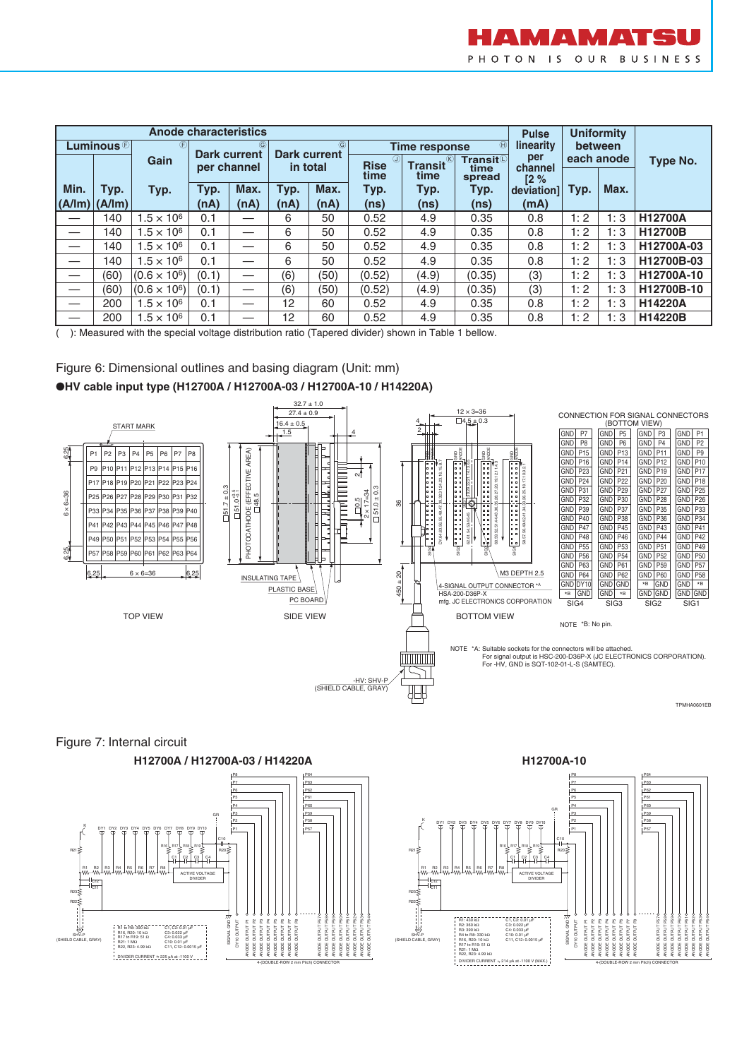

|                           |                                                                                  | <b>Anode characteristics</b> | <b>Uniformity</b><br><b>Pulse</b> |                                                                               |                 |      |                            |                               |                                |                |      |            |                 |  |
|---------------------------|----------------------------------------------------------------------------------|------------------------------|-----------------------------------|-------------------------------------------------------------------------------|-----------------|------|----------------------------|-------------------------------|--------------------------------|----------------|------|------------|-----------------|--|
|                           | $\circled{F}$<br>Luminous $\circledcirc$<br>$\circled{6}$<br><b>Dark current</b> |                              |                                   | $\circled{6}$<br>$\circled{H}$<br><b>Time response</b><br><b>Dark current</b> |                 |      |                            |                               | linearity                      | between        |      |            |                 |  |
|                           |                                                                                  | Gain                         | per channel                       |                                                                               | in total        |      | $\circledR$<br><b>Rise</b> | $\circledR$<br><b>Transit</b> | Transit <sup>(1)</sup><br>time | per<br>channel |      | each anode | <b>Type No.</b> |  |
|                           |                                                                                  |                              |                                   |                                                                               |                 |      | time                       | time                          | spread                         | 12%            |      |            |                 |  |
| Min.                      | Typ.                                                                             | Typ.                         | Typ.                              | Max.                                                                          | Typ.            | Max. | Typ.                       | Typ.                          | Typ.                           | deviation1     | Typ. | Max.       |                 |  |
| $ $ (A/lm) $ $ (A/lm) $ $ |                                                                                  |                              | (nA)                              | (nA)                                                                          | (nA)            | (nA) | (ns)                       | (ns)                          | (ns)                           | (mA)           |      |            |                 |  |
|                           | 140                                                                              | $1.5 \times 10^{6}$          | 0.1                               |                                                                               | 6               | 50   | 0.52                       | 4.9                           | 0.35                           | 0.8            | 1:2  | 1:3        | <b>H12700A</b>  |  |
|                           | 140                                                                              | $1.5 \times 10^{6}$          | 0.1                               |                                                                               | 6               | 50   | 0.52                       | 4.9                           | 0.35                           | 0.8            | 1:2  | 1:3        | H12700B         |  |
| —                         | 140                                                                              | $1.5 \times 10^{6}$          | 0.1                               |                                                                               | 6               | 50   | 0.52                       | 4.9                           | 0.35                           | 0.8            | 1:2  | 1:3        | H12700A-03      |  |
| —                         | 140                                                                              | $1.5 \times 10^{6}$          | 0.1                               |                                                                               | 6               | 50   | 0.52                       | 4.9                           | 0.35                           | 0.8            | 1:2  | 1:3        | H12700B-03      |  |
|                           | (60)                                                                             | $(0.6 \times 10^6)$          | (0.1)                             |                                                                               | (6)             | (50) | (0.52)                     | (4.9)                         | (0.35)                         | (3)            | 1:2  | 1:3        | H12700A-10      |  |
| —                         | (60)                                                                             | $(0.6 \times 10^6)$          | (0.1)                             |                                                                               | (6)             | (50) | (0.52)                     | (4.9)                         | (0.35)                         | (3)            | 1:2  | 1:3        | H12700B-10      |  |
|                           | 200                                                                              | $1.5 \times 10^{6}$          | 0.1                               |                                                                               | 12              | 60   | 0.52                       | 4.9                           | 0.35                           | 0.8            | 1:2  | 1:3        | <b>H14220A</b>  |  |
|                           | 200                                                                              | $1.5 \times 10^{6}$          | 0.1                               |                                                                               | 12 <sup>2</sup> | 60   | 0.52                       | 4.9                           | 0.35                           | 0.8            | 1:2  | 1:3        | H14220B         |  |

( ): Measured with the special voltage distribution ratio (Tapered divider) shown in Table 1 bellow.





### Figure 7: Internal circuit